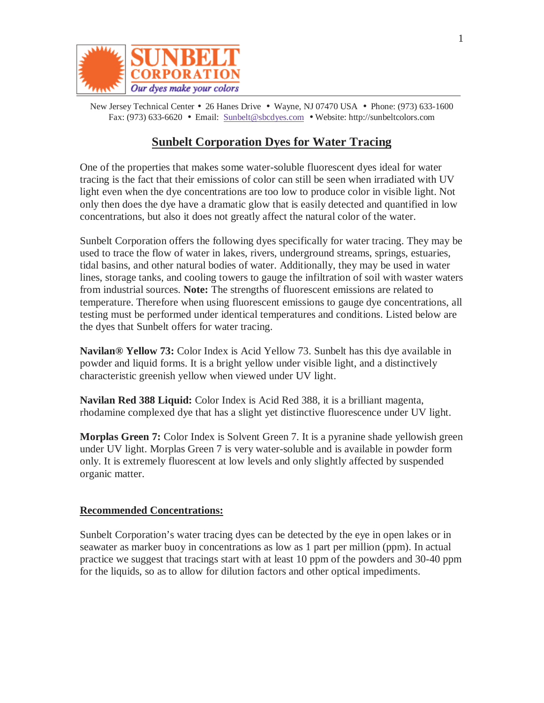

New Jersey Technical Center • 26 Hanes Drive • Wayne, NJ 07470 USA • Phone: (973) 633-1600 Fax: (973) 633-6620 • Email: Sunbelt@sbcdyes.com • Website: http://sunbeltcolors.com

## **Sunbelt Corporation Dyes for Water Tracing**

One of the properties that makes some water-soluble fluorescent dyes ideal for water tracing is the fact that their emissions of color can still be seen when irradiated with UV light even when the dye concentrations are too low to produce color in visible light. Not only then does the dye have a dramatic glow that is easily detected and quantified in low concentrations, but also it does not greatly affect the natural color of the water.

Sunbelt Corporation offers the following dyes specifically for water tracing. They may be used to trace the flow of water in lakes, rivers, underground streams, springs, estuaries, tidal basins, and other natural bodies of water. Additionally, they may be used in water lines, storage tanks, and cooling towers to gauge the infiltration of soil with waster waters from industrial sources. **Note:** The strengths of fluorescent emissions are related to temperature. Therefore when using fluorescent emissions to gauge dye concentrations, all testing must be performed under identical temperatures and conditions. Listed below are the dyes that Sunbelt offers for water tracing.

**Navilan® Yellow 73:** Color Index is Acid Yellow 73. Sunbelt has this dye available in powder and liquid forms. It is a bright yellow under visible light, and a distinctively characteristic greenish yellow when viewed under UV light.

**Navilan Red 388 Liquid:** Color Index is Acid Red 388, it is a brilliant magenta, rhodamine complexed dye that has a slight yet distinctive fluorescence under UV light.

**Morplas Green 7:** Color Index is Solvent Green 7. It is a pyranine shade yellowish green under UV light. Morplas Green 7 is very water-soluble and is available in powder form only. It is extremely fluorescent at low levels and only slightly affected by suspended organic matter.

## **Recommended Concentrations:**

Sunbelt Corporation's water tracing dyes can be detected by the eye in open lakes or in seawater as marker buoy in concentrations as low as 1 part per million (ppm). In actual practice we suggest that tracings start with at least 10 ppm of the powders and 30-40 ppm for the liquids, so as to allow for dilution factors and other optical impediments.